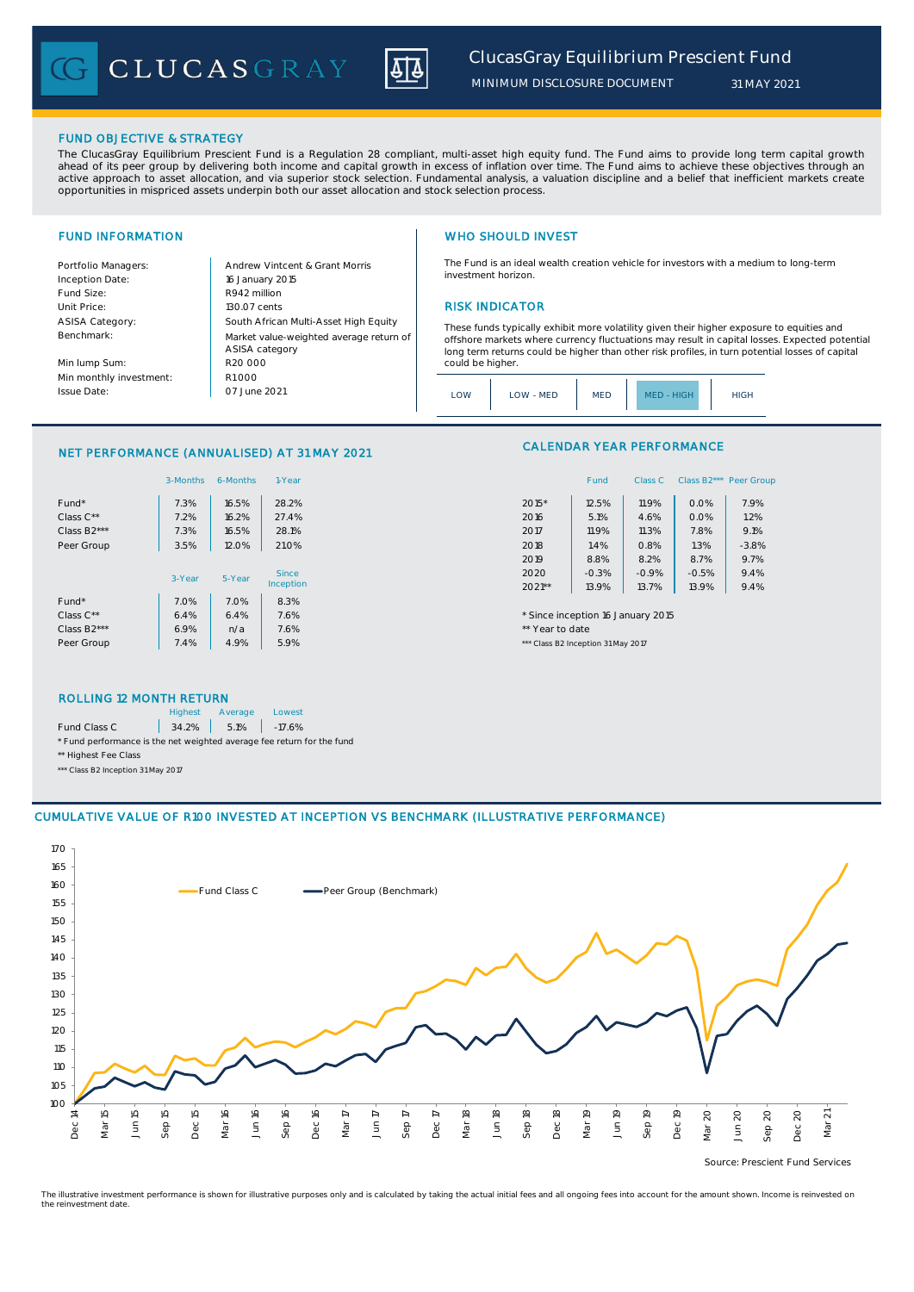CLUCASGRAY



*MINIMUM DISCLOSURE DOCUMENT*

### FUND OBJECTIVE & STRATEGY

The ClucasGray Equilibrium Prescient Fund is a Regulation 28 compliant, multi-asset high equity fund. The Fund aims to provide long term capital growth ahead of its peer group by delivering both income and capital growth in excess of inflation over time. The Fund aims to achieve these objectives through an<br>active approach to asset allocation, and via superior stock select opportunities in mispriced assets underpin both our asset allocation and stock selection process.

Inception Date: Fund Size: R942 million ASISA Category: Benchmark:

Min lump Sum: Min monthly investment: Issue Date:

Portfolio Managers: <br>Andrew Vintcent & Grant Morris Unit Price: 130.07 cents RISK INDICATOR South African Multi-Asset High Equity 16 January 2015 R20 000 Market value-weighted average return of ASISA category 07 June 2021  $R1000$ 

## FUND INFORMATION **WHO SHOULD INVEST**

The Fund is an ideal wealth creation vehicle for investors with a medium to long-term investment horizon.

These funds typically exhibit more volatility given their higher exposure to equities and offshore markets where currency fluctuations may result in capital losses. Expected potential long term returns could be higher than other risk profiles, in turn potential losses of capital could be higher

### NET PERFORMANCE (ANNUALISED) AT 31 MAY 2021

|                          | 3-Months | 6-Months | 1-Year    | Fund<br>Class B <sub>2</sub> *** Peer Gro<br>Class C |
|--------------------------|----------|----------|-----------|------------------------------------------------------|
| Fund*                    | 7.3%     | 16.5%    | 28.2%     | 7.9%<br>11.9%<br>$2015*$<br>12.5%<br>0.0%            |
| Class C**                | 7.2%     | 16.2%    | 27.4%     | 1.2%<br>5.1%<br>0.0%<br>2016<br>4.6%                 |
| Class B2***              | 7.3%     | 16.5%    | 28.1%     | 9.1%<br>11.9%<br>7.8%<br>2017<br>11.3%               |
| Peer Group               | 3.5%     | 12.0%    | 21.0%     | 1.4%<br>1.3%<br>$-3.8%$<br>2018<br>0.8%              |
|                          |          |          |           | 8.7%<br>9.7%<br>2019<br>8.8%<br>8.2%                 |
|                          | 3-Year   | 5-Year   | Since     | 9.4%<br>$-0.3%$<br>2020<br>$-0.9%$<br>$-0.5%$        |
|                          |          |          | Inception | 9.4%<br>$2021**$<br>13.9%<br>13.9%<br>13.7%          |
| Fund*                    | 7.0%     | 7.0%     | 8.3%      |                                                      |
| Class $C^{\star\star}$   | 6.4%     | 6.4%     | 7.6%      | * Since inception 16 January 2015                    |
| Class B <sub>2</sub> *** | 6.9%     | n/a      | 7.6%      | ** Year to date                                      |
| Peer Group               | 7.4%     | 4.9%     | 5.9%      | *** Class B2 Inception 31 May 2017                   |

## CALENDAR YEAR PERFORMANCE

| 1-Year  |          | Fund    | Class C |         | Class B2*** Peer Group |
|---------|----------|---------|---------|---------|------------------------|
| 28.2%   | $2015*$  | 12.5%   | 11.9%   | 0.0%    | 7.9%                   |
| 27.4%   | 2016     | 5.1%    | 4.6%    | 0.0%    | 1.2%                   |
| 28.1%   | 2017     | 11.9%   | 11.3%   | 7.8%    | 9.1%                   |
| 21.0%   | 2018     | 1.4%    | 0.8%    | 1.3%    | $-3.8%$                |
|         | 2019     | 8.8%    | 8.2%    | 8.7%    | 9.7%                   |
| Since   | 2020     | $-0.3%$ | $-0.9%$ | $-0.5%$ | 9.4%                   |
| ception | $2021**$ | 13.9%   | 13.7%   | 13.9%   | 9.4%                   |

### ROLLING 12 MONTH RETURN

|                                                                        | <b>Highest</b> | Average           | Lowest |  |  |
|------------------------------------------------------------------------|----------------|-------------------|--------|--|--|
| Fund Class C                                                           |                | 34.2% 5.1% -17.6% |        |  |  |
| * Fund performance is the net weighted average fee return for the fund |                |                   |        |  |  |
| ** Highest Fee Class                                                   |                |                   |        |  |  |

\*\*\* Class B2 Inception 31 May 2017

### CUMULATIVE VALUE OF R100 INVESTED AT INCEPTION VS BENCHMARK (ILLUSTRATIVE PERFORMANCE)



Source: Prescient Fund Services

The illustrative investment performance is shown for illustrative purposes only and is calculated by taking the actual initial fees and all ongoing fees into account for the amount shown. Income is reinvested on the reinvestment date.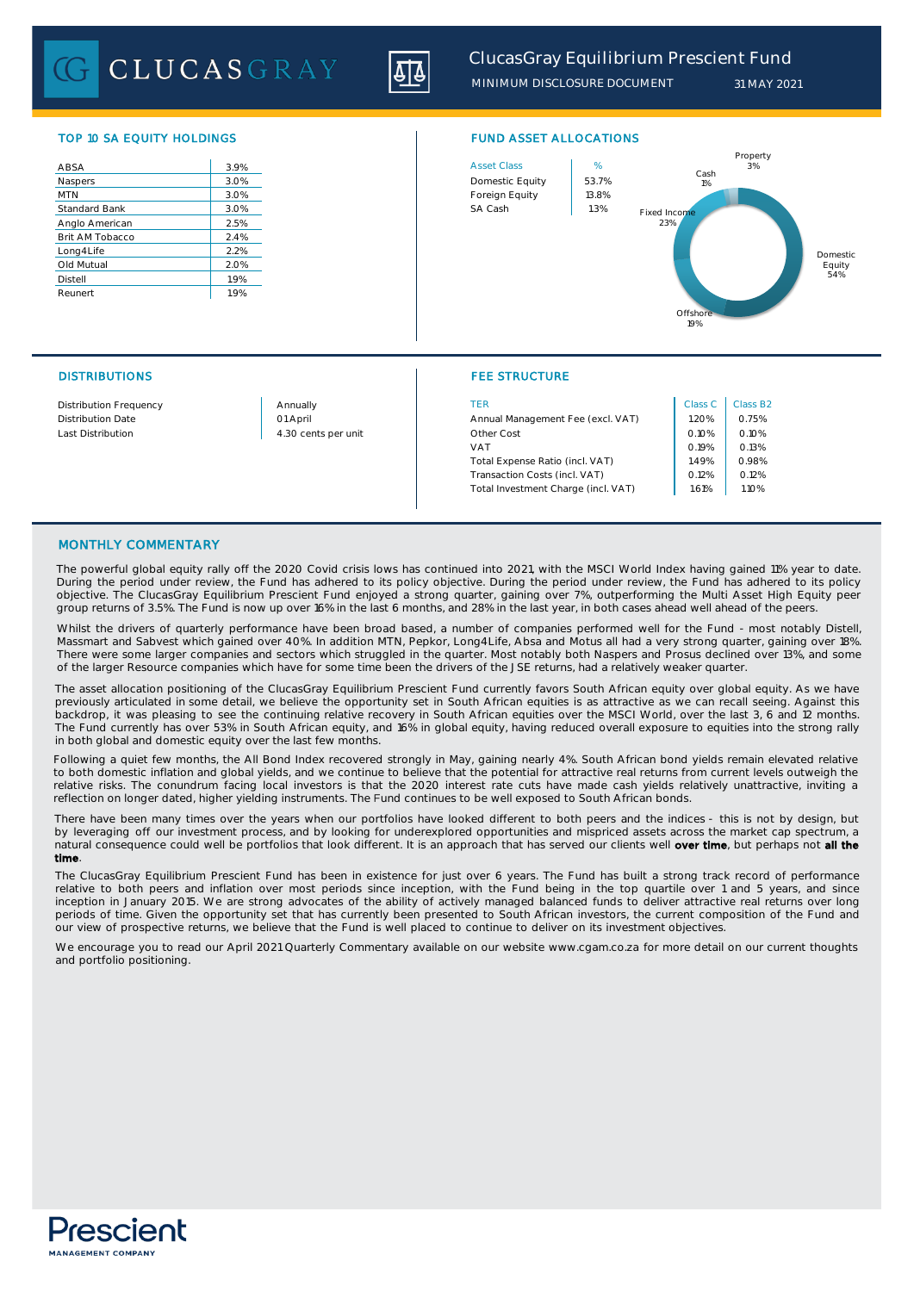CLUCASGRAY



| ABSA                 | 3.9% |
|----------------------|------|
| Naspers              | 3.0% |
| <b>MTN</b>           | 3.0% |
| <b>Standard Bank</b> | 3.0% |
| Anglo American       | 2.5% |
| Brit AM Tobacco      | 2.4% |
| Long4Life            | 2.2% |
| Old Mutual           | 2.0% |
| <b>Distell</b>       | 1.9% |
| Reunert              | 1.9% |
|                      |      |



## DISTRIBUTIONS FEE STRUCTURE

| Distribution Frequency | Annually            | TER                                 | Class C | Class B |
|------------------------|---------------------|-------------------------------------|---------|---------|
| Distribution Date      | 01 April            | Annual Management Fee (excl. VAT)   | 1.20%   | 0.75%   |
| Last Distribution      | 4.30 cents per unit | Other Cost                          | 0.10%   | 0.10%   |
|                        |                     | VAT                                 | 0.19%   | 0.13%   |
|                        |                     | Total Expense Ratio (incl. VAT)     | 1.49%   | 0.98%   |
|                        |                     | Transaction Costs (incl. VAT)       | 0.12%   | 0.12%   |
|                        |                     | Total Investment Charge (incl. VAT) | 1.61%   | 1.10%   |

| Class <sub>C</sub> | Class B <sub>2</sub> |
|--------------------|----------------------|
| 1.20%              | 0.75%                |
| 0.10%              | 0.10%                |
| 0.19%              | 0.13%                |
| 1.49%              | 0.98%                |
| 0.12%              | 0.12%                |
| 1.61%              | 1.10%                |

## MONTHLY COMMENTARY

The powerful global equity rally off the 2020 Covid crisis lows has continued into 2021, with the MSCI World Index having gained 11% year to date. During the period under review, the Fund has adhered to its policy objective. During the period under review, the Fund has adhered to its policy objective. The ClucasGray Equilibrium Prescient Fund enjoyed a strong quarter, gaining over 7%, outperforming the Multi Asset High Equity peer group returns of 3.5%. The Fund is now up over 16% in the last 6 months, and 28% in the last year, in both cases ahead well ahead of the peers.

Whilst the drivers of quarterly performance have been broad based, a number of companies performed well for the Fund - most notably Distell, Massmart and Sabvest which gained over 40%. In addition MTN, Pepkor, Long4Life, Absa and Motus all had a very strong quarter, gaining over 18%. There were some larger companies and sectors which struggled in the quarter. Most notably both Naspers and Prosus declined over 13%, and some of the larger Resource companies which have for some time been the drivers of the JSE returns, had a relatively weaker quarter.

The asset allocation positioning of the ClucasGray Equilibrium Prescient Fund currently favors South African equity over global equity. As we have previously articulated in some detail, we believe the opportunity set in South African equities is as attractive as we can recall seeing. Against this backdrop, it was pleasing to see the continuing relative recovery in South African equities over the MSCI World, over the last 3, 6 and 12 months. The Fund currently has over 53% in South African equity, and 16% in global equity, having reduced overall exposure to equities into the strong rally in both global and domestic equity over the last few months.

Following a quiet few months, the All Bond Index recovered strongly in May, gaining nearly 4%. South African bond yields remain elevated relative to both domestic inflation and global yields, and we continue to believe that the potential for attractive real returns from current levels outweigh the relative risks. The conundrum facing local investors is that the 2020 interest rate cuts have made cash yields relatively unattractive, inviting a reflection on longer dated, higher yielding instruments. The Fund continues to be well exposed to South African bonds.

There have been many times over the years when our portfolios have looked different to both peers and the indices - this is not by design, but by leveraging off our investment process, and by looking for underexplored opportunities and mispriced assets across the market cap spectrum, a natural consequence could well be portfolios that look different. It is an approach that has served our clients well over time, but perhaps not all the time.

The ClucasGray Equilibrium Prescient Fund has been in existence for just over 6 years. The Fund has built a strong track record of performance relative to both peers and inflation over most periods since inception, with the Fund being in the top quartile over 1 and 5 years, and since inception in January 2015. We are strong advocates of the ability of actively managed balanced funds to deliver attractive real returns over long periods of time. Given the opportunity set that has currently been presented to South African investors, the current composition of the Fund and our view of prospective returns, we believe that the Fund is well placed to continue to deliver on its investment objectives.

We encourage you to read our April 2021 Quarterly Commentary available on our website www.cgam.co.za for more detail on our current thoughts and portfolio positioning.